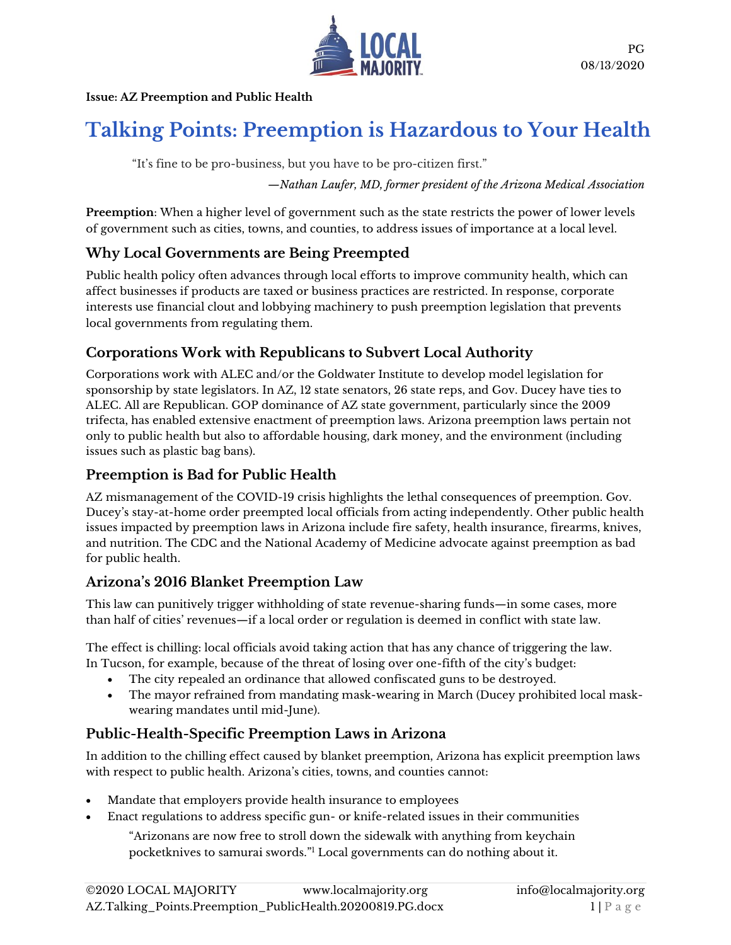

#### **Issue: AZ Preemption and Public Health**

# **Talking Points: Preemption is Hazardous to Your Health**

"It's fine to be pro-business, but you have to be pro-citizen first."

*—Nathan Laufer, MD, former president of the Arizona Medical Association*

**Preemption**: When a higher level of government such as the state restricts the power of lower levels of government such as cities, towns, and counties, to address issues of importance at a local level.

### **Why Local Governments are Being Preempted**

Public health policy often advances through local efforts to improve community health, which can affect businesses if products are taxed or business practices are restricted. In response, corporate interests use financial clout and lobbying machinery to push preemption legislation that prevents local governments from regulating them.

### **Corporations Work with Republicans to Subvert Local Authority**

Corporations work with ALEC and/or the Goldwater Institute to develop model legislation for sponsorship by state legislators. In AZ, 12 state senators, 26 state reps, and Gov. Ducey have ties to ALEC. All are Republican. GOP dominance of AZ state government, particularly since the 2009 trifecta, has enabled extensive enactment of preemption laws. Arizona preemption laws pertain not only to public health but also to affordable housing, dark money, and the environment (including issues such as plastic bag bans).

### **Preemption is Bad for Public Health**

AZ mismanagement of the COVID-19 crisis highlights the lethal consequences of preemption. Gov. Ducey's stay-at-home order preempted local officials from acting independently. Other public health issues impacted by preemption laws in Arizona include fire safety, health insurance, firearms, knives, and nutrition. The CDC and the National Academy of Medicine advocate against preemption as bad for public health.

### **Arizona's 2016 Blanket Preemption Law**

This law can punitively trigger withholding of state revenue-sharing funds—in some cases, more than half of cities' revenues—if a local order or regulation is deemed in conflict with state law.

The effect is chilling: local officials avoid taking action that has any chance of triggering the law. In Tucson, for example, because of the threat of losing over one-fifth of the city's budget:

- The city repealed an ordinance that allowed confiscated guns to be destroyed.
- The mayor refrained from mandating mask-wearing in March (Ducey prohibited local maskwearing mandates until mid-June).

### **Public-Health-Specific Preemption Laws in Arizona**

In addition to the chilling effect caused by blanket preemption, Arizona has explicit preemption laws with respect to public health. Arizona's cities, towns, and counties cannot:

- Mandate that employers provide health insurance to employees
- Enact regulations to address specific gun- or knife-related issues in their communities

"Arizonans are now free to stroll down the sidewalk with anything from keychain pocketknives to samurai swords." <sup>1</sup> Local governments can do nothing about it.